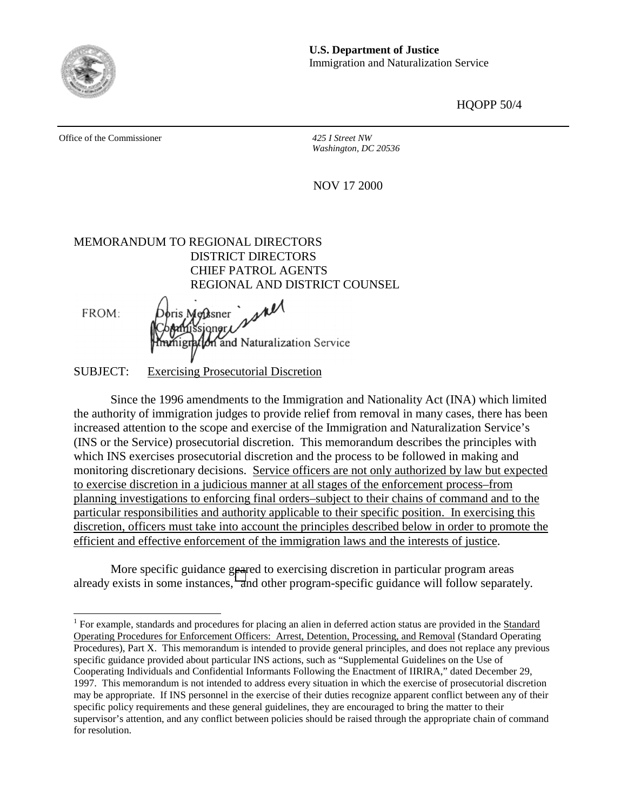

HQOPP 50/4

Office of the Commissioner *425 I Street NW* 

 *Washington, DC 20536* 

NOV 17 2000

# MEMORANDUM TO REGIONAL DIRECTORS DISTRICT DIRECTORS CHIEF PATROL AGENTS REGIONAL AND DISTRICT COUNSEL

FROM:

l

l**oß**sner and Naturalization Service

SUBJECT: Exercising Prosecutorial Discretion

 Since the 1996 amendments to the Immigration and Nationality Act (INA) which limited the authority of immigration judges to provide relief from removal in many cases, there has been increased attention to the scope and exercise of the Immigration and Naturalization Service's (INS or the Service) prosecutorial discretion. This memorandum describes the principles with which INS exercises prosecutorial discretion and the process to be followed in making and monitoring discretionary decisions. Service officers are not only authorized by law but expected to exercise discretion in a judicious manner at all stages of the enforcement process–from planning investigations to enforcing final orders–subject to their chains of command and to the particular responsibilities and authority applicable to their specific position. In exercising this discretion, officers must take into account the principles described below in order to promote the efficient and effective enforcement of the immigration laws and the interests of justice.

 More specific guidance geared to exercising discretion in particular program areas already exists in some instances, $<sup>1</sup>$  and other program-specific guidance will follow separately.</sup>

<sup>&</sup>lt;sup>1</sup> For example, standards and procedures for placing an alien in deferred action status are provided in the **Standard** Operating Procedures for Enforcement Officers: Arrest, Detention, Processing, and Removal (Standard Operating Procedures), Part X. This memorandum is intended to provide general principles, and does not replace any previous specific guidance provided about particular INS actions, such as "Supplemental Guidelines on the Use of Cooperating Individuals and Confidential Informants Following the Enactment of IIRIRA," dated December 29, 1997. This memorandum is not intended to address every situation in which the exercise of prosecutorial discretion may be appropriate. If INS personnel in the exercise of their duties recognize apparent conflict between any of their specific policy requirements and these general guidelines, they are encouraged to bring the matter to their supervisor's attention, and any conflict between policies should be raised through the appropriate chain of command for resolution.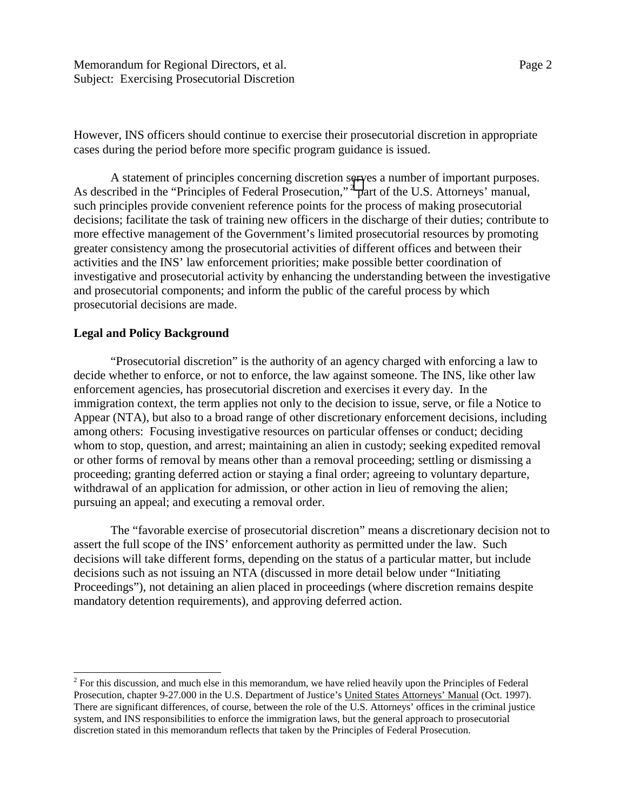Memorandum for Regional Directors, et al.  $\Box$  Page 2 Subject: Exercising Prosecutorial Discretion

However, INS officers should continue to exercise their prosecutorial discretion in appropriate cases during the period before more specific program guidance is issued.

 A statement of principles concerning discretion serves a number of important purposes. As described in the "Principles of Federal Prosecution,"<sup>2</sup> part of the U.S. Attorneys' manual, such principles provide convenient reference points for the process of making prosecutorial decisions; facilitate the task of training new officers in the discharge of their duties; contribute to more effective management of the Government's limited prosecutorial resources by promoting greater consistency among the prosecutorial activities of different offices and between their activities and the INS' law enforcement priorities; make possible better coordination of investigative and prosecutorial activity by enhancing the understanding between the investigative and prosecutorial components; and inform the public of the careful process by which prosecutorial decisions are made.

## **Legal and Policy Background**

 $\overline{a}$ 

 "Prosecutorial discretion" is the authority of an agency charged with enforcing a law to decide whether to enforce, or not to enforce, the law against someone. The INS, like other law enforcement agencies, has prosecutorial discretion and exercises it every day. In the immigration context, the term applies not only to the decision to issue, serve, or file a Notice to Appear (NTA), but also to a broad range of other discretionary enforcement decisions, including among others: Focusing investigative resources on particular offenses or conduct; deciding whom to stop, question, and arrest; maintaining an alien in custody; seeking expedited removal or other forms of removal by means other than a removal proceeding; settling or dismissing a proceeding; granting deferred action or staying a final order; agreeing to voluntary departure, withdrawal of an application for admission, or other action in lieu of removing the alien; pursuing an appeal; and executing a removal order.

 The "favorable exercise of prosecutorial discretion" means a discretionary decision not to assert the full scope of the INS' enforcement authority as permitted under the law. Such decisions will take different forms, depending on the status of a particular matter, but include decisions such as not issuing an NTA (discussed in more detail below under "Initiating Proceedings"), not detaining an alien placed in proceedings (where discretion remains despite mandatory detention requirements), and approving deferred action.

 $2^2$  For this discussion, and much else in this memorandum, we have relied heavily upon the Principles of Federal Prosecution, chapter 9-27.000 in the U.S. Department of Justice's United States Attorneys' Manual (Oct. 1997). There are significant differences, of course, between the role of the U.S. Attorneys' offices in the criminal justice system, and INS responsibilities to enforce the immigration laws, but the general approach to prosecutorial discretion stated in this memorandum reflects that taken by the Principles of Federal Prosecution.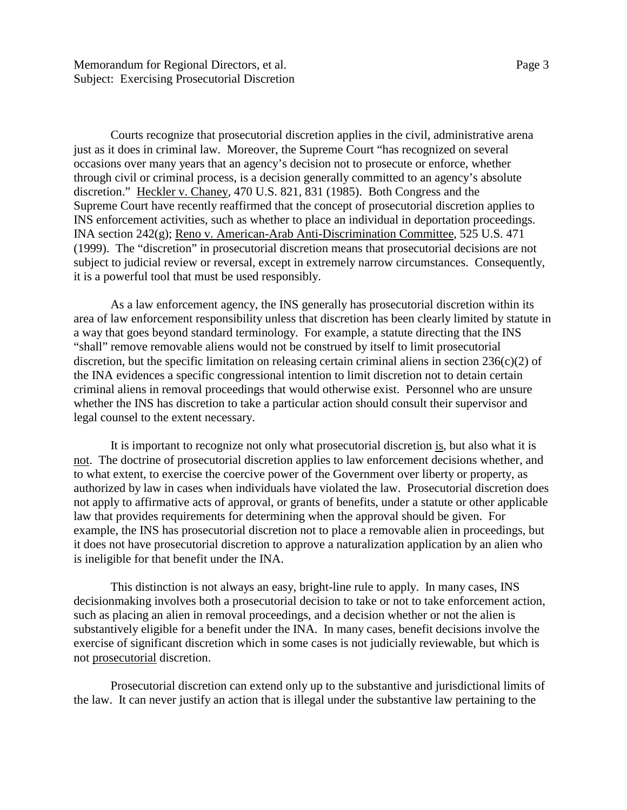Memorandum for Regional Directors, et al. Page 3 Subject: Exercising Prosecutorial Discretion

Courts recognize that prosecutorial discretion applies in the civil, administrative arena just as it does in criminal law. Moreover, the Supreme Court "has recognized on several occasions over many years that an agency's decision not to prosecute or enforce, whether through civil or criminal process, is a decision generally committed to an agency's absolute discretion." Heckler v. Chaney, 470 U.S. 821, 831 (1985). Both Congress and the Supreme Court have recently reaffirmed that the concept of prosecutorial discretion applies to INS enforcement activities, such as whether to place an individual in deportation proceedings. INA section 242(g); Reno v. American-Arab Anti-Discrimination Committee, 525 U.S. 471 (1999). The "discretion" in prosecutorial discretion means that prosecutorial decisions are not subject to judicial review or reversal, except in extremely narrow circumstances. Consequently, it is a powerful tool that must be used responsibly.

 As a law enforcement agency, the INS generally has prosecutorial discretion within its area of law enforcement responsibility unless that discretion has been clearly limited by statute in a way that goes beyond standard terminology. For example, a statute directing that the INS "shall" remove removable aliens would not be construed by itself to limit prosecutorial discretion, but the specific limitation on releasing certain criminal aliens in section  $236(c)(2)$  of the INA evidences a specific congressional intention to limit discretion not to detain certain criminal aliens in removal proceedings that would otherwise exist. Personnel who are unsure whether the INS has discretion to take a particular action should consult their supervisor and legal counsel to the extent necessary.

 It is important to recognize not only what prosecutorial discretion is, but also what it is not. The doctrine of prosecutorial discretion applies to law enforcement decisions whether, and to what extent, to exercise the coercive power of the Government over liberty or property, as authorized by law in cases when individuals have violated the law. Prosecutorial discretion does not apply to affirmative acts of approval, or grants of benefits, under a statute or other applicable law that provides requirements for determining when the approval should be given. For example, the INS has prosecutorial discretion not to place a removable alien in proceedings, but it does not have prosecutorial discretion to approve a naturalization application by an alien who is ineligible for that benefit under the INA.

This distinction is not always an easy, bright-line rule to apply. In many cases, INS decisionmaking involves both a prosecutorial decision to take or not to take enforcement action, such as placing an alien in removal proceedings, and a decision whether or not the alien is substantively eligible for a benefit under the INA. In many cases, benefit decisions involve the exercise of significant discretion which in some cases is not judicially reviewable, but which is not prosecutorial discretion.

 Prosecutorial discretion can extend only up to the substantive and jurisdictional limits of the law. It can never justify an action that is illegal under the substantive law pertaining to the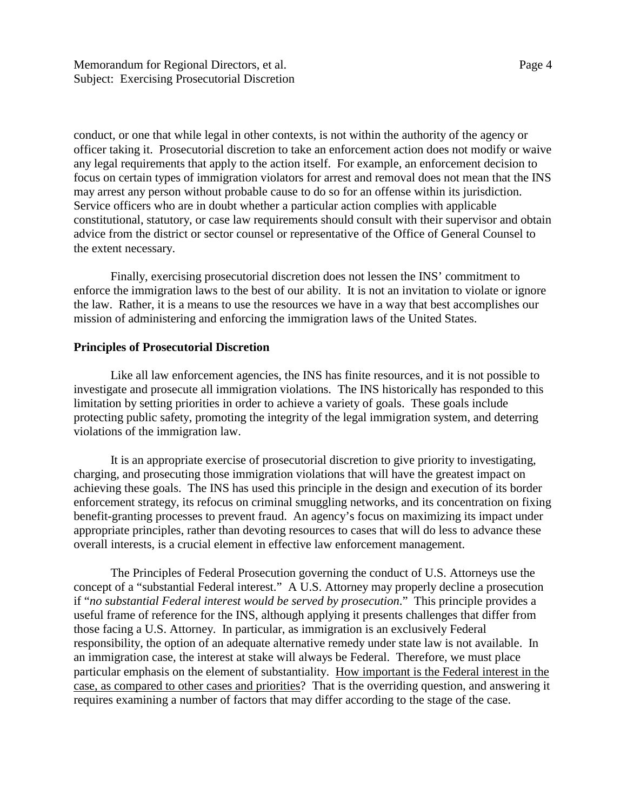Memorandum for Regional Directors, et al. Page 4 Subject: Exercising Prosecutorial Discretion

conduct, or one that while legal in other contexts, is not within the authority of the agency or officer taking it. Prosecutorial discretion to take an enforcement action does not modify or waive any legal requirements that apply to the action itself. For example, an enforcement decision to focus on certain types of immigration violators for arrest and removal does not mean that the INS may arrest any person without probable cause to do so for an offense within its jurisdiction. Service officers who are in doubt whether a particular action complies with applicable constitutional, statutory, or case law requirements should consult with their supervisor and obtain advice from the district or sector counsel or representative of the Office of General Counsel to the extent necessary.

 Finally, exercising prosecutorial discretion does not lessen the INS' commitment to enforce the immigration laws to the best of our ability. It is not an invitation to violate or ignore the law. Rather, it is a means to use the resources we have in a way that best accomplishes our mission of administering and enforcing the immigration laws of the United States.

#### **Principles of Prosecutorial Discretion**

Like all law enforcement agencies, the INS has finite resources, and it is not possible to investigate and prosecute all immigration violations. The INS historically has responded to this limitation by setting priorities in order to achieve a variety of goals. These goals include protecting public safety, promoting the integrity of the legal immigration system, and deterring violations of the immigration law.

It is an appropriate exercise of prosecutorial discretion to give priority to investigating, charging, and prosecuting those immigration violations that will have the greatest impact on achieving these goals. The INS has used this principle in the design and execution of its border enforcement strategy, its refocus on criminal smuggling networks, and its concentration on fixing benefit-granting processes to prevent fraud. An agency's focus on maximizing its impact under appropriate principles, rather than devoting resources to cases that will do less to advance these overall interests, is a crucial element in effective law enforcement management.

 The Principles of Federal Prosecution governing the conduct of U.S. Attorneys use the concept of a "substantial Federal interest." A U.S. Attorney may properly decline a prosecution if "*no substantial Federal interest would be served by prosecution*." This principle provides a useful frame of reference for the INS, although applying it presents challenges that differ from those facing a U.S. Attorney. In particular, as immigration is an exclusively Federal responsibility, the option of an adequate alternative remedy under state law is not available. In an immigration case, the interest at stake will always be Federal. Therefore, we must place particular emphasis on the element of substantiality. How important is the Federal interest in the case, as compared to other cases and priorities? That is the overriding question, and answering it requires examining a number of factors that may differ according to the stage of the case.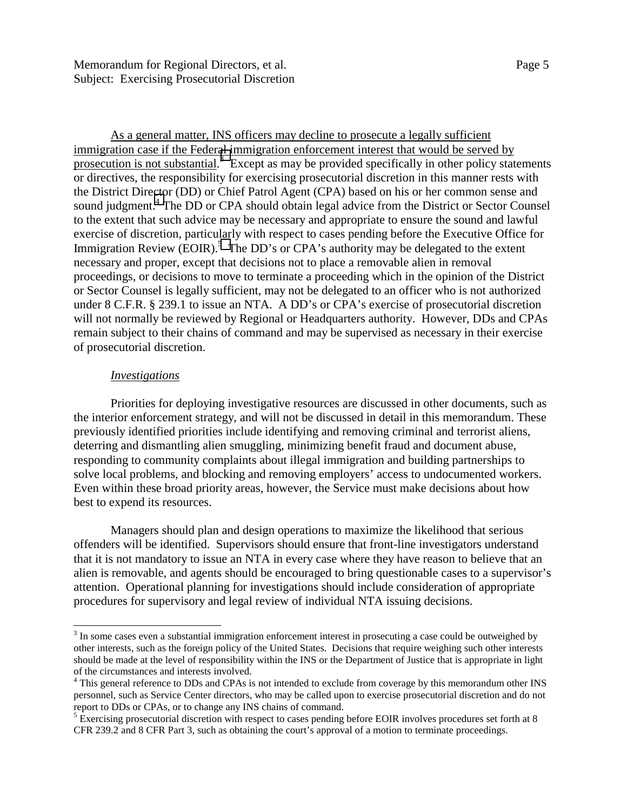Memorandum for Regional Directors, et al. **Page 5** and  $P$  and  $P$  and  $P$  and  $P$  and  $P$  and  $P$  and  $P$  and  $P$  and  $P$  and  $P$  and  $P$  and  $P$  and  $P$  and  $P$  and  $P$  and  $P$  and  $P$  and  $P$  and  $P$  and  $P$  and  $P$  and Subject: Exercising Prosecutorial Discretion

As a general matter, INS officers may decline to prosecute a legally sufficient immigration case if the Federal immigration enforcement interest that would be served by prosecution is not substantial.<sup>3</sup> Except as may be provided specifically in other policy statements or directives, the responsibility for exercising prosecutorial discretion in this manner rests with the District Director (DD) or Chief Patrol Agent (CPA) based on his or her common sense and sound judgment.<sup>4</sup> The DD or CPA should obtain legal advice from the District or Sector Counsel to the extent that such advice may be necessary and appropriate to ensure the sound and lawful exercise of discretion, particularly with respect to cases pending before the Executive Office for Immigration Review  $(EOIR)$ .<sup>5</sup> The DD's or CPA's authority may be delegated to the extent necessary and proper, except that decisions not to place a removable alien in removal proceedings, or decisions to move to terminate a proceeding which in the opinion of the District or Sector Counsel is legally sufficient, may not be delegated to an officer who is not authorized under 8 C.F.R. § 239.1 to issue an NTA. A DD's or CPA's exercise of prosecutorial discretion will not normally be reviewed by Regional or Headquarters authority. However, DDs and CPAs remain subject to their chains of command and may be supervised as necessary in their exercise of prosecutorial discretion.

# *Investigations*

 $\overline{a}$ 

 Priorities for deploying investigative resources are discussed in other documents, such as the interior enforcement strategy, and will not be discussed in detail in this memorandum. These previously identified priorities include identifying and removing criminal and terrorist aliens, deterring and dismantling alien smuggling, minimizing benefit fraud and document abuse, responding to community complaints about illegal immigration and building partnerships to solve local problems, and blocking and removing employers' access to undocumented workers. Even within these broad priority areas, however, the Service must make decisions about how best to expend its resources.

Managers should plan and design operations to maximize the likelihood that serious offenders will be identified. Supervisors should ensure that front-line investigators understand that it is not mandatory to issue an NTA in every case where they have reason to believe that an alien is removable, and agents should be encouraged to bring questionable cases to a supervisor's attention. Operational planning for investigations should include consideration of appropriate procedures for supervisory and legal review of individual NTA issuing decisions.

 $3$  In some cases even a substantial immigration enforcement interest in prosecuting a case could be outweighed by other interests, such as the foreign policy of the United States. Decisions that require weighing such other interests should be made at the level of responsibility within the INS or the Department of Justice that is appropriate in light of the circumstances and interests involved.

<sup>&</sup>lt;sup>4</sup> This general reference to DDs and CPAs is not intended to exclude from coverage by this memorandum other INS personnel, such as Service Center directors, who may be called upon to exercise prosecutorial discretion and do not report to DDs or CPAs, or to change any INS chains of command.

 $5 \text{ Exercises}$  Exercising prosecutorial discretion with respect to cases pending before EOIR involves procedures set forth at 8 CFR 239.2 and 8 CFR Part 3, such as obtaining the court's approval of a motion to terminate proceedings.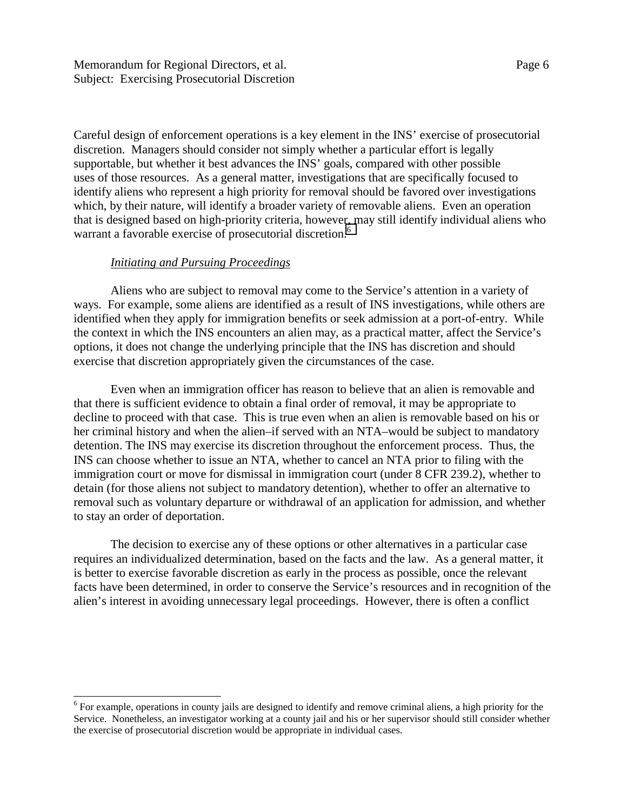Memorandum for Regional Directors, et al. Page 6 Subject: Exercising Prosecutorial Discretion

Careful design of enforcement operations is a key element in the INS' exercise of prosecutorial discretion. Managers should consider not simply whether a particular effort is legally supportable, but whether it best advances the INS' goals, compared with other possible uses of those resources. As a general matter, investigations that are specifically focused to identify aliens who represent a high priority for removal should be favored over investigations which, by their nature, will identify a broader variety of removable aliens. Even an operation that is designed based on high-priority criteria, however, may still identify individual aliens who warrant a favorable exercise of prosecutorial discretion.<sup>6</sup>

#### *Initiating and Pursuing Proceedings*

 $\overline{a}$ 

Aliens who are subject to removal may come to the Service's attention in a variety of ways. For example, some aliens are identified as a result of INS investigations, while others are identified when they apply for immigration benefits or seek admission at a port-of-entry. While the context in which the INS encounters an alien may, as a practical matter, affect the Service's options, it does not change the underlying principle that the INS has discretion and should exercise that discretion appropriately given the circumstances of the case.

Even when an immigration officer has reason to believe that an alien is removable and that there is sufficient evidence to obtain a final order of removal, it may be appropriate to decline to proceed with that case. This is true even when an alien is removable based on his or her criminal history and when the alien–if served with an NTA–would be subject to mandatory detention. The INS may exercise its discretion throughout the enforcement process. Thus, the INS can choose whether to issue an NTA, whether to cancel an NTA prior to filing with the immigration court or move for dismissal in immigration court (under 8 CFR 239.2), whether to detain (for those aliens not subject to mandatory detention), whether to offer an alternative to removal such as voluntary departure or withdrawal of an application for admission, and whether to stay an order of deportation.

The decision to exercise any of these options or other alternatives in a particular case requires an individualized determination, based on the facts and the law. As a general matter, it is better to exercise favorable discretion as early in the process as possible, once the relevant facts have been determined, in order to conserve the Service's resources and in recognition of the alien's interest in avoiding unnecessary legal proceedings. However, there is often a conflict

 $6$  For example, operations in county jails are designed to identify and remove criminal aliens, a high priority for the Service. Nonetheless, an investigator working at a county jail and his or her supervisor should still consider whether the exercise of prosecutorial discretion would be appropriate in individual cases.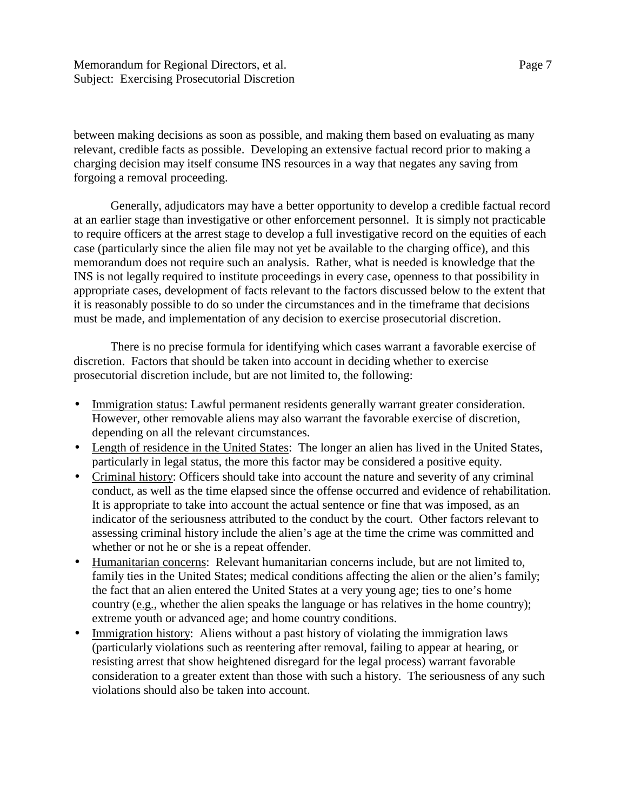Memorandum for Regional Directors, et al. **Page 7 Page 7** Subject: Exercising Prosecutorial Discretion

between making decisions as soon as possible, and making them based on evaluating as many relevant, credible facts as possible. Developing an extensive factual record prior to making a charging decision may itself consume INS resources in a way that negates any saving from forgoing a removal proceeding.

Generally, adjudicators may have a better opportunity to develop a credible factual record at an earlier stage than investigative or other enforcement personnel. It is simply not practicable to require officers at the arrest stage to develop a full investigative record on the equities of each case (particularly since the alien file may not yet be available to the charging office), and this memorandum does not require such an analysis. Rather, what is needed is knowledge that the INS is not legally required to institute proceedings in every case, openness to that possibility in appropriate cases, development of facts relevant to the factors discussed below to the extent that it is reasonably possible to do so under the circumstances and in the timeframe that decisions must be made, and implementation of any decision to exercise prosecutorial discretion.

There is no precise formula for identifying which cases warrant a favorable exercise of discretion. Factors that should be taken into account in deciding whether to exercise prosecutorial discretion include, but are not limited to, the following:

- Immigration status: Lawful permanent residents generally warrant greater consideration. However, other removable aliens may also warrant the favorable exercise of discretion, depending on all the relevant circumstances.
- Length of residence in the United States: The longer an alien has lived in the United States, particularly in legal status, the more this factor may be considered a positive equity.
- Criminal history: Officers should take into account the nature and severity of any criminal conduct, as well as the time elapsed since the offense occurred and evidence of rehabilitation. It is appropriate to take into account the actual sentence or fine that was imposed, as an indicator of the seriousness attributed to the conduct by the court. Other factors relevant to assessing criminal history include the alien's age at the time the crime was committed and whether or not he or she is a repeat offender.
- Humanitarian concerns: Relevant humanitarian concerns include, but are not limited to, family ties in the United States; medical conditions affecting the alien or the alien's family; the fact that an alien entered the United States at a very young age; ties to one's home country (e.g., whether the alien speaks the language or has relatives in the home country); extreme youth or advanced age; and home country conditions.
- Immigration history: Aliens without a past history of violating the immigration laws (particularly violations such as reentering after removal, failing to appear at hearing, or resisting arrest that show heightened disregard for the legal process) warrant favorable consideration to a greater extent than those with such a history. The seriousness of any such violations should also be taken into account.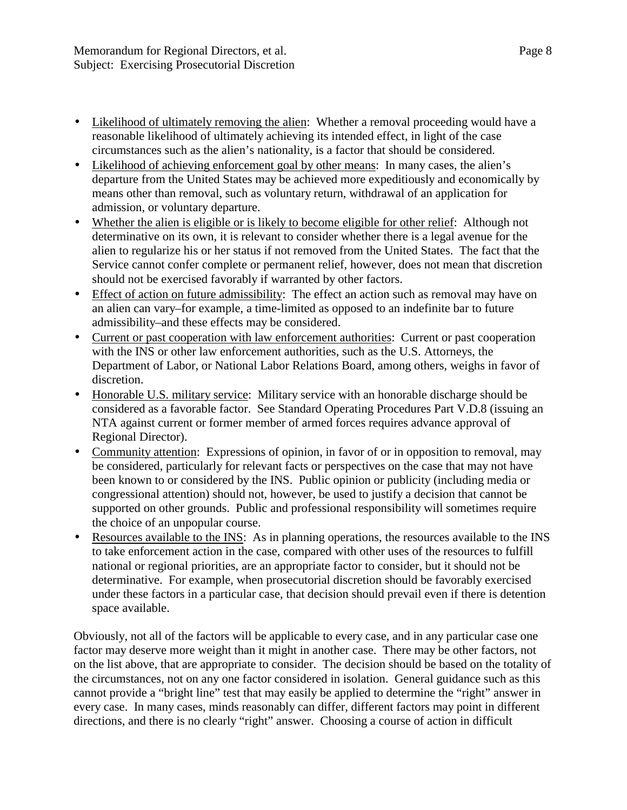- Likelihood of ultimately removing the alien: Whether a removal proceeding would have a reasonable likelihood of ultimately achieving its intended effect, in light of the case circumstances such as the alien's nationality, is a factor that should be considered.
- Likelihood of achieving enforcement goal by other means: In many cases, the alien's departure from the United States may be achieved more expeditiously and economically by means other than removal, such as voluntary return, withdrawal of an application for admission, or voluntary departure.
- Whether the alien is eligible or is likely to become eligible for other relief: Although not determinative on its own, it is relevant to consider whether there is a legal avenue for the alien to regularize his or her status if not removed from the United States. The fact that the Service cannot confer complete or permanent relief, however, does not mean that discretion should not be exercised favorably if warranted by other factors.
- Effect of action on future admissibility: The effect an action such as removal may have on an alien can vary–for example, a time-limited as opposed to an indefinite bar to future admissibility–and these effects may be considered.
- Current or past cooperation with law enforcement authorities: Current or past cooperation with the INS or other law enforcement authorities, such as the U.S. Attorneys, the Department of Labor, or National Labor Relations Board, among others, weighs in favor of discretion.
- Honorable U.S. military service: Military service with an honorable discharge should be considered as a favorable factor. See Standard Operating Procedures Part V.D.8 (issuing an NTA against current or former member of armed forces requires advance approval of Regional Director).
- Community attention: Expressions of opinion, in favor of or in opposition to removal, may be considered, particularly for relevant facts or perspectives on the case that may not have been known to or considered by the INS. Public opinion or publicity (including media or congressional attention) should not, however, be used to justify a decision that cannot be supported on other grounds. Public and professional responsibility will sometimes require the choice of an unpopular course.
- Resources available to the INS: As in planning operations, the resources available to the INS to take enforcement action in the case, compared with other uses of the resources to fulfill national or regional priorities, are an appropriate factor to consider, but it should not be determinative. For example, when prosecutorial discretion should be favorably exercised under these factors in a particular case, that decision should prevail even if there is detention space available.

Obviously, not all of the factors will be applicable to every case, and in any particular case one factor may deserve more weight than it might in another case. There may be other factors, not on the list above, that are appropriate to consider. The decision should be based on the totality of the circumstances, not on any one factor considered in isolation. General guidance such as this cannot provide a "bright line" test that may easily be applied to determine the "right" answer in every case. In many cases, minds reasonably can differ, different factors may point in different directions, and there is no clearly "right" answer. Choosing a course of action in difficult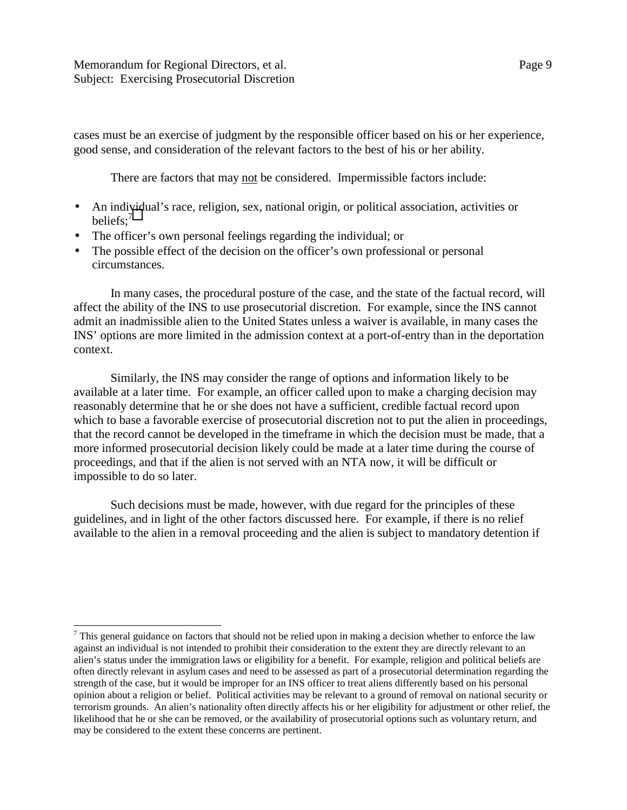Memorandum for Regional Directors, et al. Page 9 Subject: Exercising Prosecutorial Discretion

 $\overline{a}$ 

cases must be an exercise of judgment by the responsible officer based on his or her experience, good sense, and consideration of the relevant factors to the best of his or her ability.

There are factors that may not be considered. Impermissible factors include:

- An individual's race, religion, sex, national origin, or political association, activities or beliefs:<sup>7</sup>
- The officer's own personal feelings regarding the individual; or
- The possible effect of the decision on the officer's own professional or personal circumstances.

In many cases, the procedural posture of the case, and the state of the factual record, will affect the ability of the INS to use prosecutorial discretion. For example, since the INS cannot admit an inadmissible alien to the United States unless a waiver is available, in many cases the INS' options are more limited in the admission context at a port-of-entry than in the deportation context.

Similarly, the INS may consider the range of options and information likely to be available at a later time. For example, an officer called upon to make a charging decision may reasonably determine that he or she does not have a sufficient, credible factual record upon which to base a favorable exercise of prosecutorial discretion not to put the alien in proceedings, that the record cannot be developed in the timeframe in which the decision must be made, that a more informed prosecutorial decision likely could be made at a later time during the course of proceedings, and that if the alien is not served with an NTA now, it will be difficult or impossible to do so later.

Such decisions must be made, however, with due regard for the principles of these guidelines, and in light of the other factors discussed here. For example, if there is no relief available to the alien in a removal proceeding and the alien is subject to mandatory detention if

 $<sup>7</sup>$  This general guidance on factors that should not be relied upon in making a decision whether to enforce the law</sup> against an individual is not intended to prohibit their consideration to the extent they are directly relevant to an alien's status under the immigration laws or eligibility for a benefit. For example, religion and political beliefs are often directly relevant in asylum cases and need to be assessed as part of a prosecutorial determination regarding the strength of the case, but it would be improper for an INS officer to treat aliens differently based on his personal opinion about a religion or belief. Political activities may be relevant to a ground of removal on national security or terrorism grounds. An alien's nationality often directly affects his or her eligibility for adjustment or other relief, the likelihood that he or she can be removed, or the availability of prosecutorial options such as voluntary return, and may be considered to the extent these concerns are pertinent.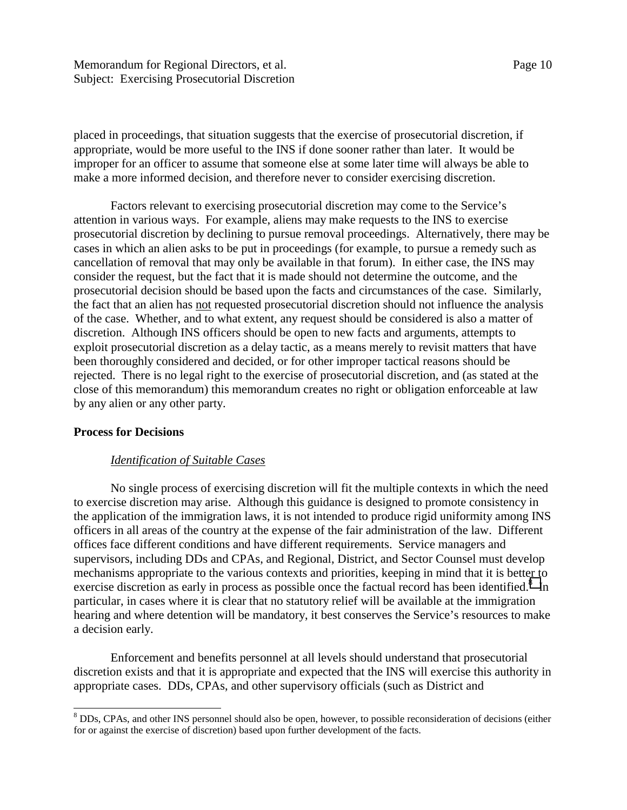Memorandum for Regional Directors, et al. Page 10 Subject: Exercising Prosecutorial Discretion

placed in proceedings, that situation suggests that the exercise of prosecutorial discretion, if appropriate, would be more useful to the INS if done sooner rather than later. It would be improper for an officer to assume that someone else at some later time will always be able to make a more informed decision, and therefore never to consider exercising discretion.

Factors relevant to exercising prosecutorial discretion may come to the Service's attention in various ways. For example, aliens may make requests to the INS to exercise prosecutorial discretion by declining to pursue removal proceedings. Alternatively, there may be cases in which an alien asks to be put in proceedings (for example, to pursue a remedy such as cancellation of removal that may only be available in that forum). In either case, the INS may consider the request, but the fact that it is made should not determine the outcome, and the prosecutorial decision should be based upon the facts and circumstances of the case. Similarly, the fact that an alien has not requested prosecutorial discretion should not influence the analysis of the case. Whether, and to what extent, any request should be considered is also a matter of discretion. Although INS officers should be open to new facts and arguments, attempts to exploit prosecutorial discretion as a delay tactic, as a means merely to revisit matters that have been thoroughly considered and decided, or for other improper tactical reasons should be rejected. There is no legal right to the exercise of prosecutorial discretion, and (as stated at the close of this memorandum) this memorandum creates no right or obligation enforceable at law by any alien or any other party.

#### **Process for Decisions**

 $\overline{a}$ 

## *Identification of Suitable Cases*

No single process of exercising discretion will fit the multiple contexts in which the need to exercise discretion may arise. Although this guidance is designed to promote consistency in the application of the immigration laws, it is not intended to produce rigid uniformity among INS officers in all areas of the country at the expense of the fair administration of the law. Different offices face different conditions and have different requirements. Service managers and supervisors, including DDs and CPAs, and Regional, District, and Sector Counsel must develop mechanisms appropriate to the various contexts and priorities, keeping in mind that it is better to exercise discretion as early in process as possible once the factual record has been identified.<sup>8</sup> In particular, in cases where it is clear that no statutory relief will be available at the immigration hearing and where detention will be mandatory, it best conserves the Service's resources to make a decision early.

Enforcement and benefits personnel at all levels should understand that prosecutorial discretion exists and that it is appropriate and expected that the INS will exercise this authority in appropriate cases. DDs, CPAs, and other supervisory officials (such as District and

 $8$  DDs, CPAs, and other INS personnel should also be open, however, to possible reconsideration of decisions (either for or against the exercise of discretion) based upon further development of the facts.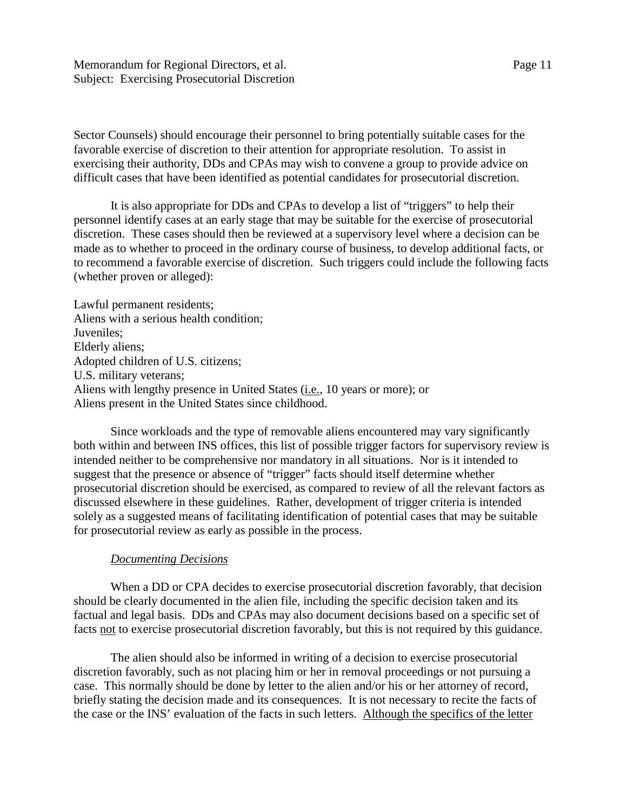Memorandum for Regional Directors, et al. Page 11 Subject: Exercising Prosecutorial Discretion

Sector Counsels) should encourage their personnel to bring potentially suitable cases for the favorable exercise of discretion to their attention for appropriate resolution. To assist in exercising their authority, DDs and CPAs may wish to convene a group to provide advice on difficult cases that have been identified as potential candidates for prosecutorial discretion.

It is also appropriate for DDs and CPAs to develop a list of "triggers" to help their personnel identify cases at an early stage that may be suitable for the exercise of prosecutorial discretion. These cases should then be reviewed at a supervisory level where a decision can be made as to whether to proceed in the ordinary course of business, to develop additional facts, or to recommend a favorable exercise of discretion. Such triggers could include the following facts (whether proven or alleged):

Lawful permanent residents; Aliens with a serious health condition; Juveniles; Elderly aliens; Adopted children of U.S. citizens; U.S. military veterans; Aliens with lengthy presence in United States (i.e., 10 years or more); or Aliens present in the United States since childhood.

Since workloads and the type of removable aliens encountered may vary significantly both within and between INS offices, this list of possible trigger factors for supervisory review is intended neither to be comprehensive nor mandatory in all situations. Nor is it intended to suggest that the presence or absence of "trigger" facts should itself determine whether prosecutorial discretion should be exercised, as compared to review of all the relevant factors as discussed elsewhere in these guidelines. Rather, development of trigger criteria is intended solely as a suggested means of facilitating identification of potential cases that may be suitable for prosecutorial review as early as possible in the process.

## *Documenting Decisions*

When a DD or CPA decides to exercise prosecutorial discretion favorably, that decision should be clearly documented in the alien file, including the specific decision taken and its factual and legal basis. DDs and CPAs may also document decisions based on a specific set of facts not to exercise prosecutorial discretion favorably, but this is not required by this guidance.

The alien should also be informed in writing of a decision to exercise prosecutorial discretion favorably, such as not placing him or her in removal proceedings or not pursuing a case. This normally should be done by letter to the alien and/or his or her attorney of record, briefly stating the decision made and its consequences. It is not necessary to recite the facts of the case or the INS' evaluation of the facts in such letters. Although the specifics of the letter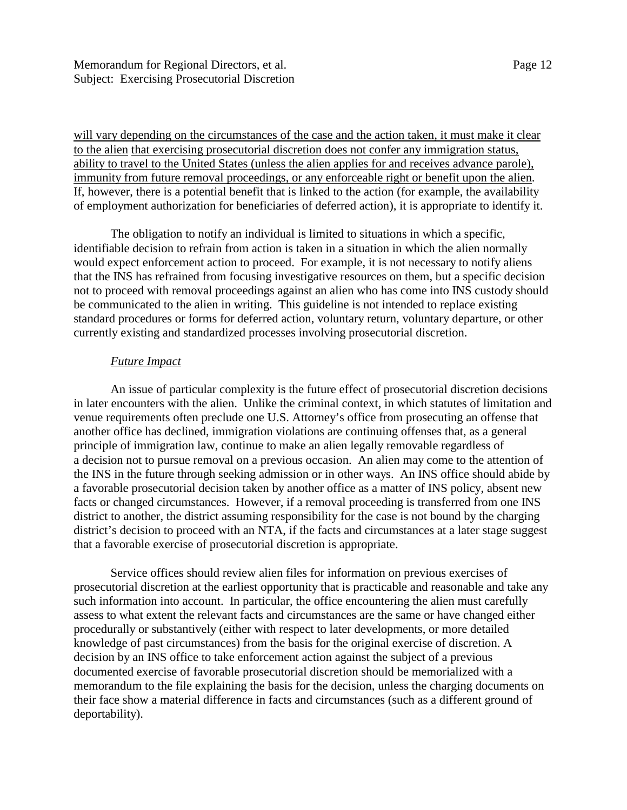# Memorandum for Regional Directors, et al. Page 12 Subject: Exercising Prosecutorial Discretion

will vary depending on the circumstances of the case and the action taken, it must make it clear to the alien that exercising prosecutorial discretion does not confer any immigration status, ability to travel to the United States (unless the alien applies for and receives advance parole), immunity from future removal proceedings, or any enforceable right or benefit upon the alien. If, however, there is a potential benefit that is linked to the action (for example, the availability of employment authorization for beneficiaries of deferred action), it is appropriate to identify it.

The obligation to notify an individual is limited to situations in which a specific, identifiable decision to refrain from action is taken in a situation in which the alien normally would expect enforcement action to proceed. For example, it is not necessary to notify aliens that the INS has refrained from focusing investigative resources on them, but a specific decision not to proceed with removal proceedings against an alien who has come into INS custody should be communicated to the alien in writing. This guideline is not intended to replace existing standard procedures or forms for deferred action, voluntary return, voluntary departure, or other currently existing and standardized processes involving prosecutorial discretion.

# *Future Impact*

An issue of particular complexity is the future effect of prosecutorial discretion decisions in later encounters with the alien. Unlike the criminal context, in which statutes of limitation and venue requirements often preclude one U.S. Attorney's office from prosecuting an offense that another office has declined, immigration violations are continuing offenses that, as a general principle of immigration law, continue to make an alien legally removable regardless of a decision not to pursue removal on a previous occasion. An alien may come to the attention of the INS in the future through seeking admission or in other ways. An INS office should abide by a favorable prosecutorial decision taken by another office as a matter of INS policy, absent new facts or changed circumstances. However, if a removal proceeding is transferred from one INS district to another, the district assuming responsibility for the case is not bound by the charging district's decision to proceed with an NTA, if the facts and circumstances at a later stage suggest that a favorable exercise of prosecutorial discretion is appropriate.

Service offices should review alien files for information on previous exercises of prosecutorial discretion at the earliest opportunity that is practicable and reasonable and take any such information into account. In particular, the office encountering the alien must carefully assess to what extent the relevant facts and circumstances are the same or have changed either procedurally or substantively (either with respect to later developments, or more detailed knowledge of past circumstances) from the basis for the original exercise of discretion. A decision by an INS office to take enforcement action against the subject of a previous documented exercise of favorable prosecutorial discretion should be memorialized with a memorandum to the file explaining the basis for the decision, unless the charging documents on their face show a material difference in facts and circumstances (such as a different ground of deportability).